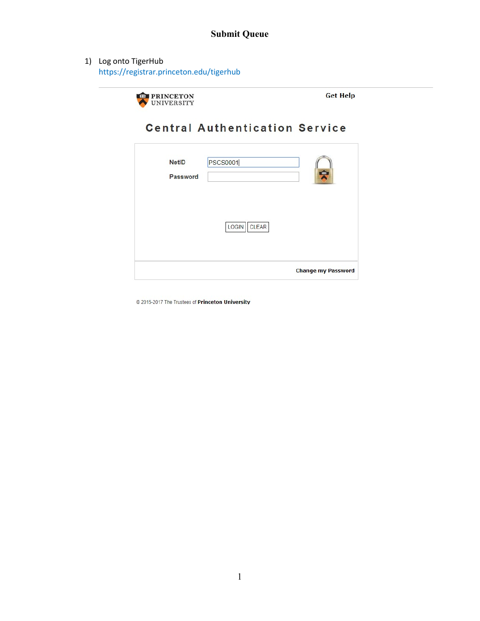1) Log onto TigerHub https://registrar.princeton.edu/tigerhub



**Get Help** 

# **Central Authentication Service**

|              |                       | <b>Change my Password</b> |
|--------------|-----------------------|---------------------------|
|              | LOGIN<br><b>CLEAR</b> |                           |
|              |                       |                           |
| Password     |                       | ¢                         |
| <b>NetID</b> | <b>PSCS0001</b>       |                           |

@ 2015-2017 The Trustees of Princeton University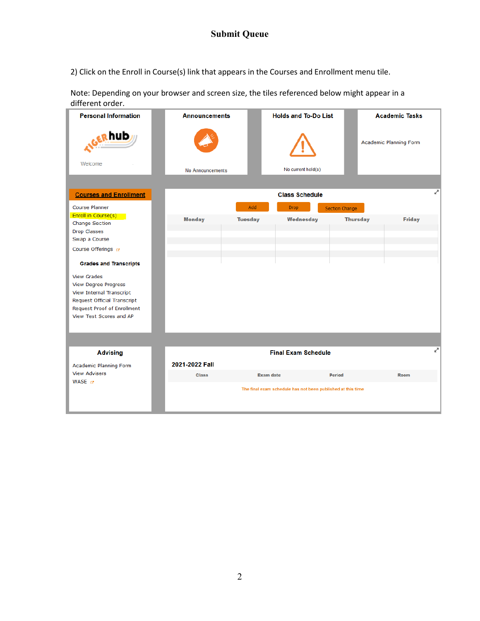2) Click on the Enroll in Course(s) link that appears in the Courses and Enrollment menu tile.

Note: Depending on your browser and screen size, the tiles referenced below might appear in a different order.

| <b>Personal Information</b>                                                                                                                                                                                                                                                                                                              | <b>Announcements</b> |                  | <b>Holds and To-Do List</b>                                 |                 | <b>Academic Tasks</b>  |
|------------------------------------------------------------------------------------------------------------------------------------------------------------------------------------------------------------------------------------------------------------------------------------------------------------------------------------------|----------------------|------------------|-------------------------------------------------------------|-----------------|------------------------|
| GERhub<br>Welcome                                                                                                                                                                                                                                                                                                                        | No Announcements     |                  | No current hold(s)                                          |                 | Academic Planning Form |
|                                                                                                                                                                                                                                                                                                                                          |                      |                  |                                                             |                 |                        |
| <b>Courses and Enrollment</b>                                                                                                                                                                                                                                                                                                            |                      |                  | <b>Class Schedule</b>                                       |                 | ₹                      |
| <b>Course Planner</b>                                                                                                                                                                                                                                                                                                                    |                      | Add              | <b>Drop</b>                                                 | Section Change  |                        |
| Enroll in Course(s)<br><b>Change Section</b><br>Drop Classes<br>Swap a Course<br>Course Offerings <sub>13</sub><br><b>Grades and Transcripts</b><br><b>View Grades</b><br><b>View Degree Progress</b><br><b>View Internal Transcript</b><br><b>Request Official Transcript</b><br>Request Proof of Enrollment<br>View Test Scores and AP | <b>Monday</b>        | <b>Tuesday</b>   | Wednesday                                                   | <b>Thursday</b> | <b>Friday</b>          |
|                                                                                                                                                                                                                                                                                                                                          |                      |                  |                                                             |                 |                        |
| <b>Advising</b>                                                                                                                                                                                                                                                                                                                          |                      |                  | <b>Final Exam Schedule</b>                                  |                 | v.                     |
| <b>Academic Planning Form</b>                                                                                                                                                                                                                                                                                                            | 2021-2022 Fall       |                  |                                                             |                 |                        |
| <b>View Advisers</b>                                                                                                                                                                                                                                                                                                                     | <b>Class</b>         | <b>Exam date</b> |                                                             | <b>Period</b>   | Room                   |
| WASE $\mathbb{R}^n$                                                                                                                                                                                                                                                                                                                      |                      |                  | The final exam schedule has not been published at this time |                 |                        |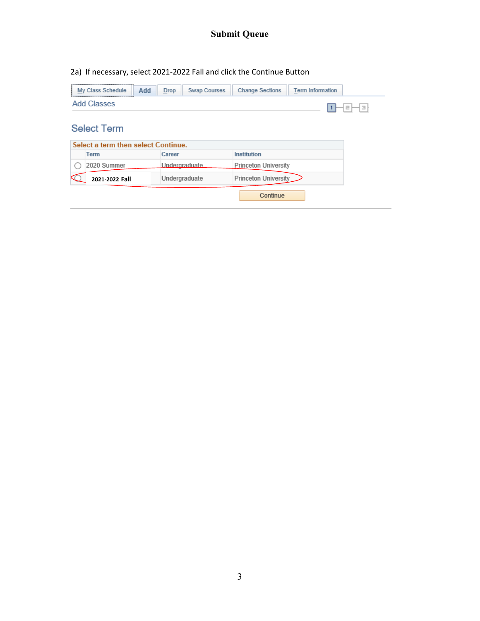2a) If necessary, select 2021-2022 Fall and click the Continue Button

| My Class Schedule<br>Add            | <b>Swap Courses</b><br>Drop | <b>Change Sections</b>      | <b>Term Information</b> |
|-------------------------------------|-----------------------------|-----------------------------|-------------------------|
| <b>Add Classes</b>                  |                             |                             | Ε<br>Ξ                  |
| <b>Select Term</b>                  |                             |                             |                         |
| Select a term then select Continue. |                             |                             |                         |
| Term                                | Career                      | Institution                 |                         |
| 2020 Summer                         | Undergraduate               | <b>Princeton University</b> |                         |
| 2021-2022 Fall                      | Undergraduate               | Princeton University        |                         |
|                                     |                             | Continue                    |                         |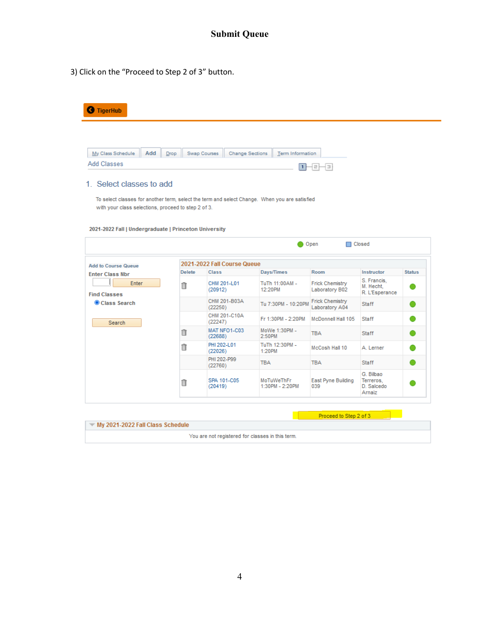3) Click on the "Proceed to Step 2 of 3" button.

| <b>TigerHub</b><br>Ø                                                                          |               |                                        |                          |                                          |                             |               |
|-----------------------------------------------------------------------------------------------|---------------|----------------------------------------|--------------------------|------------------------------------------|-----------------------------|---------------|
|                                                                                               |               |                                        |                          |                                          |                             |               |
| Add<br>My Class Schedule                                                                      | <b>Drop</b>   | Swap Courses<br><b>Change Sections</b> | Term Information         |                                          |                             |               |
| <b>Add Classes</b>                                                                            |               |                                        | $\overline{1}$           | $=$<br>$\exists$                         |                             |               |
| 1. Select classes to add                                                                      |               |                                        |                          |                                          |                             |               |
|                                                                                               |               |                                        |                          |                                          |                             |               |
| To select classes for another term, select the term and select Change. When you are satisfied |               |                                        |                          |                                          |                             |               |
| with your class selections, proceed to step 2 of 3.                                           |               |                                        |                          |                                          |                             |               |
|                                                                                               |               |                                        |                          |                                          |                             |               |
| 2021-2022 Fall   Undergraduate   Princeton University                                         |               |                                        |                          |                                          |                             |               |
|                                                                                               |               |                                        |                          |                                          |                             |               |
|                                                                                               |               |                                        |                          |                                          |                             |               |
|                                                                                               |               |                                        | O                        | Open                                     | <b>□</b> Closed             |               |
|                                                                                               |               |                                        |                          |                                          |                             |               |
|                                                                                               |               | 2021-2022 Fall Course Queue            |                          |                                          |                             |               |
|                                                                                               | <b>Delete</b> | <b>Class</b>                           | Days/Times               | Room                                     | Instructor                  | <b>Status</b> |
| Enter                                                                                         |               | CHM 201-L01                            | TuTh 11:00AM -           | <b>Frick Chemistry</b>                   | S. Francis,                 |               |
|                                                                                               | î             | (20912)                                | 12:20PM                  | Laboratory B02                           | M. Hecht,<br>R. L'Esperance |               |
| <b>Add to Course Queue</b><br><b>Enter Class Nbr</b><br><b>Find Classes</b><br>Class Search   |               | CHM 201-B03A<br>(22250)                | Tu 7:30PM - 10:20PM      | <b>Frick Chemistry</b><br>Laboratory A04 | <b>Staff</b>                |               |
| Search                                                                                        |               | CHM 201-C10A<br>(22247)                | Fr 1:30PM - 2:20PM       | McDonnell Hall 105                       | <b>Staff</b>                | ∩             |
|                                                                                               | 自             | MAT NFO1-C03<br>(22688)                | MoWe 1:30PM -<br>2:50PM  | <b>TBA</b>                               | <b>Staff</b>                | O             |
|                                                                                               | î             | PHI 202-L01<br>(22026)                 | TuTh 12:30PM -<br>1:20PM | McCosh Hall 10                           | A. Lerner                   | O             |
|                                                                                               |               | PHI 202-P99<br>(22760)                 | <b>TBA</b>               | <b>TBA</b>                               | <b>Staff</b>                | o             |

| N ™ My 2021-2022 Fall Class Schedule             |  |
|--------------------------------------------------|--|
| You are not registered for classes in this term. |  |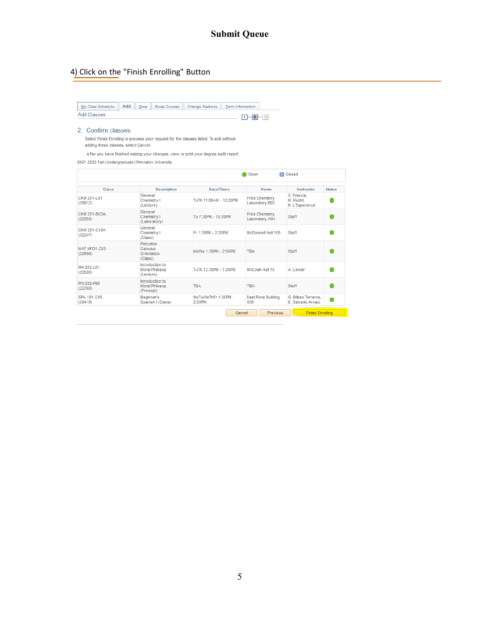### 4) Click on the "Finish Enrolling" Button

My Class Schedule || Add | Drop || Swap Courses || Change Sections || Term Information Add Classes \_ D-8-3

#### 2. Confirm classes

Select Finish Enrolling to process your request for the classes listed. To exit without adding these classes, select Cancel.

After you have finished making your changes, view or print your degree audit report.

2021-2022 Fall | Undergraduate | Princeton University

| <b>Class</b>            | <b>Description</b>                              | <b>Days/Times</b>             | Room                                                     | Instructor                                 | <b>Status</b> |
|-------------------------|-------------------------------------------------|-------------------------------|----------------------------------------------------------|--------------------------------------------|---------------|
| CHM 201-L01<br>(20912)  | General<br>Chemistry I<br>(Lecture)             | TuTh 11:00AM - 12:20PM        | <b>Frick Chemistry</b><br>Laboratory B02                 | S. Francis.<br>M. Hecht.<br>R. L'Esperance |               |
| CHM 201-B03A<br>(22250) | General<br>Chemistry I<br>(Laboratory)          | Tu 7:30PM - 10:20PM           | <b>Frick Chemistry</b><br><b>Staff</b><br>Laboratory A04 |                                            |               |
| CHM 201-C10A<br>(22247) | General<br>Chemistry I<br>(Class)               | Fr 1:30PM - 2:20PM            | McDonnell Hall 105                                       |                                            |               |
| MAT NFO1-C03<br>(22688) | Princeton<br>Calculus<br>Orientation<br>(Class) | MoWe 1:30PM - 2:50PM          | <b>TRA</b>                                               |                                            |               |
| PHI 202-101<br>(22026)  | Introduction to<br>Moral Philosop<br>(Lecture)  | TuTh 12:30PM - 1:20PM         | McCosh Hall 10                                           | A. Lerner                                  |               |
| PHI 202-P99<br>(22760)  | Introduction to<br>Moral Philosop<br>(Precept)  | <b>TRA</b>                    | <b>TRA</b>                                               | <b>Staff</b>                               |               |
| SPA 101-C05<br>(20419)  | Beginner's<br>Spanish I (Class)                 | MoTuWeThFr 1:30PM -<br>2:20PM | East Pyne Building<br>039                                | G. Bilbao Terreros.<br>D. Salcedo Arnaiz   |               |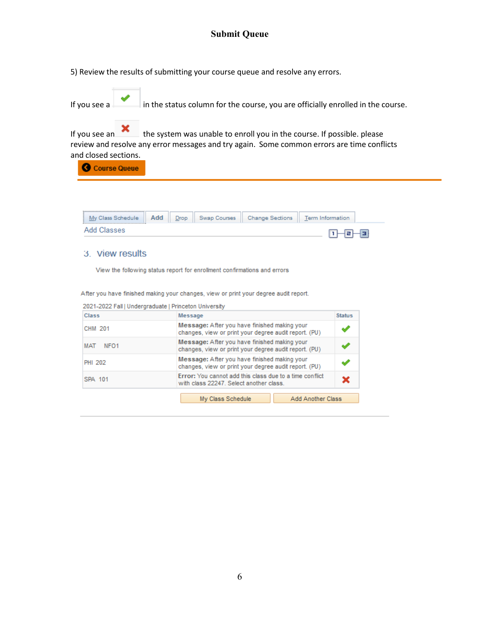5) Review the results of submitting your course queue and resolve any errors.

| If you see a | $\Box$ in the status column for the course, you are officially enrolled in the course. |
|--------------|----------------------------------------------------------------------------------------|
|              |                                                                                        |

If you see an  $\bullet$  the system was unable to enroll you in the course. If possible. please review and resolve any error messages and try again. Some common errors are time conflicts and closed sections.

Course Queue

| y Class Schedule | Add | Drop | Swap Courses | <b>Change Sections</b> | - |  |
|------------------|-----|------|--------------|------------------------|---|--|
| lasses:          |     |      |              |                        |   |  |

### 3. View results

View the following status report for enrollment confirmations and errors

After you have finished making your changes, view or print your degree audit report.

| Class                          | Message                                                                                               | <b>Status</b> |
|--------------------------------|-------------------------------------------------------------------------------------------------------|---------------|
| CHM 201                        | Message: After you have finished making your<br>changes, view or print your degree audit report. (PU) |               |
| <b>MAT</b><br>NFO <sub>1</sub> | Message: After you have finished making your<br>changes, view or print your degree audit report. (PU) |               |
| <b>PHI 202</b>                 | Message: After you have finished making your<br>changes, view or print your degree audit report. (PU) |               |
| SPA 101                        | Error: You cannot add this class due to a time conflict<br>with class 22247. Select another class.    | x             |
|                                | My Class Schedule<br><b>Add Another Class</b>                                                         |               |

2021-2022 Fall | Undergraduate | Princeton University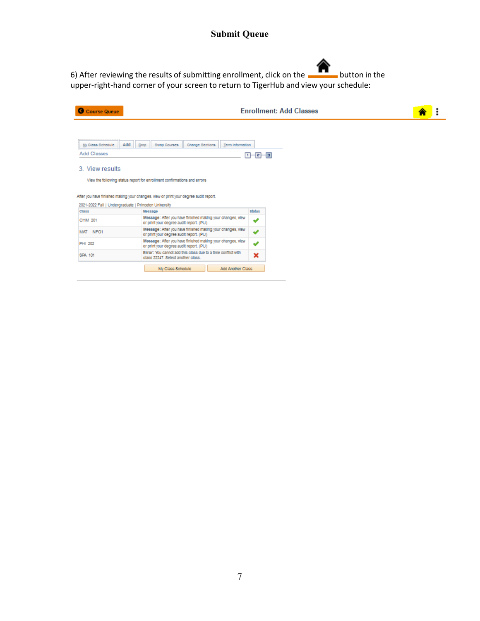6) After reviewing the results of submitting enrollment, click on the **button in the** upper-right-hand corner of your screen to return to TigerHub and view your schedule:

| Course Queue                     |                                                                                                                                                                                                                           |               | <b>Enrollment: Add Classes</b> |
|----------------------------------|---------------------------------------------------------------------------------------------------------------------------------------------------------------------------------------------------------------------------|---------------|--------------------------------|
| My Class Schedule<br>Add Classes | Add<br>Swap Courses<br>Change Sections<br>Term Information<br>Drop                                                                                                                                                        | n-e-e         |                                |
| 3. View results                  | View the following status report for enrollment confirmations and errors<br>After you have finished making your changes, view or print your degree audit report.<br>2021-2022 Fall   Undergraduate   Princeton University |               |                                |
| <b>Class</b>                     | Message                                                                                                                                                                                                                   | <b>Status</b> |                                |
| CHM 201                          | Message: After you have finished making your changes, view<br>or print your degree audit report. (PU)                                                                                                                     | ✔             |                                |
| MAT NFO1                         | Message: After you have finished making your changes, view<br>or print your degree audit report. (PU)                                                                                                                     | ✔             |                                |
| PHI 202                          | Message: After you have finished making your changes, view<br>or print your degree audit report. (PU)                                                                                                                     | ✔             |                                |
| SPA 101                          | Error: You cannot add this class due to a time conflict with<br>class 22247. Select another class.                                                                                                                        | ×             |                                |
|                                  | My Class Schedule<br>Add Another Class                                                                                                                                                                                    |               |                                |